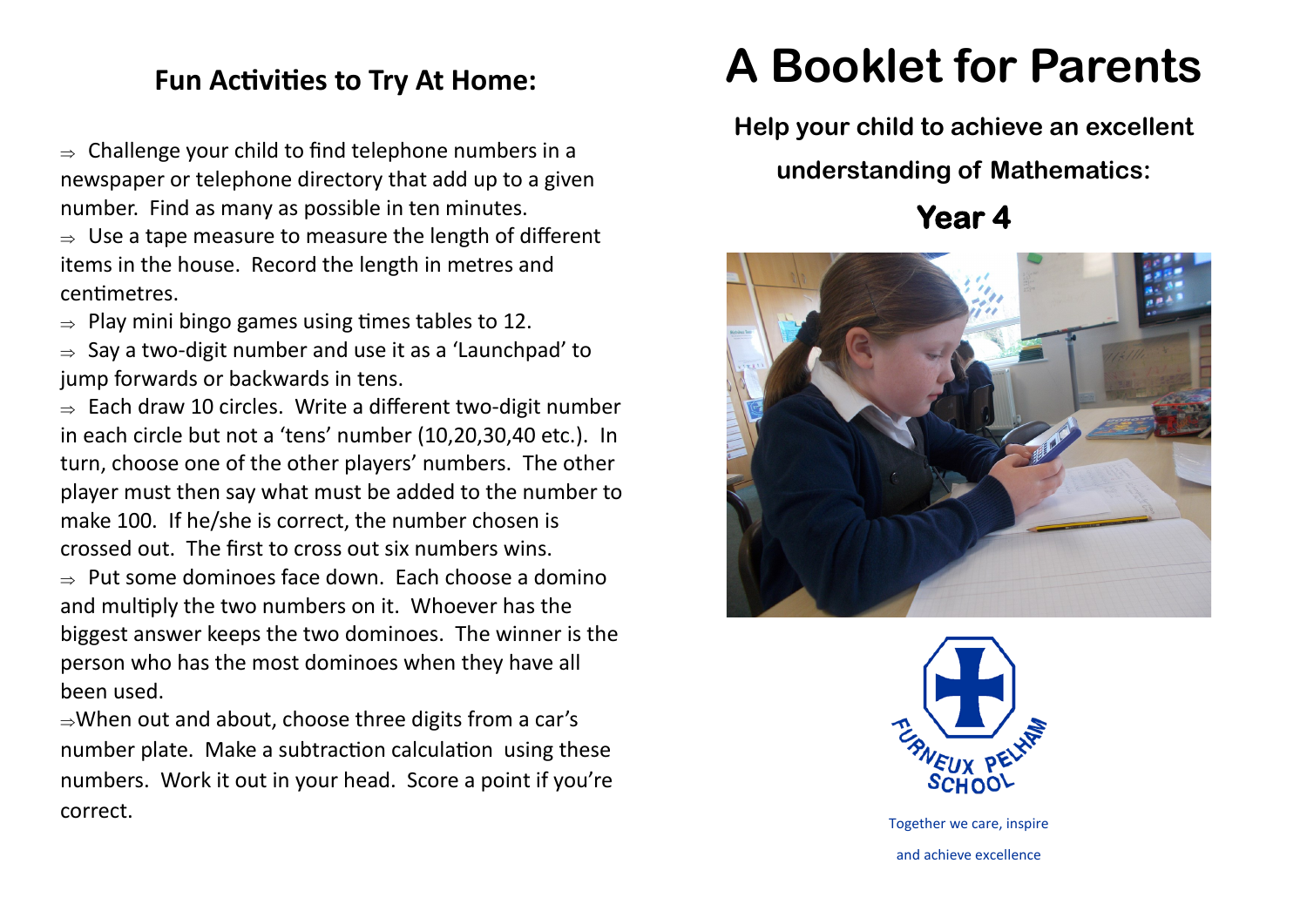## **Fun Activities to Try At Home:**

 $\Rightarrow$  Challenge your child to find telephone numbers in a newspaper or telephone directory that add up to a given number. Find as many as possible in ten minutes.

 $\Rightarrow$  Use a tape measure to measure the length of different items in the house. Record the length in metres and centimetres.

 $\Rightarrow$  Play mini bingo games using times tables to 12.

 $\Rightarrow$  Say a two-digit number and use it as a 'Launchpad' to jump forwards or backwards in tens.

 $\Rightarrow$  Each draw 10 circles. Write a different two-digit number in each circle but not a 'tens' number (10,20,30,40 etc.). In turn, choose one of the other players' numbers. The other player must then say what must be added to the number to make 100. If he/she is correct, the number chosen is crossed out. The first to cross out six numbers wins.

 $\Rightarrow$  Put some dominoes face down. Each choose a domino and multiply the two numbers on it. Whoever has the biggest answer keeps the two dominoes. The winner is the person who has the most dominoes when they have all been used.

 $\Rightarrow$ When out and about, choose three digits from a car's number plate. Make a subtraction calculation using these numbers. Work it out in your head. Score a point if you're correct.

## **A Booklet for Parents**

**Help your child to achieve an excellent** 

**understanding of Mathematics:**

**Year 4** 





Together we care, inspire and achieve excellence